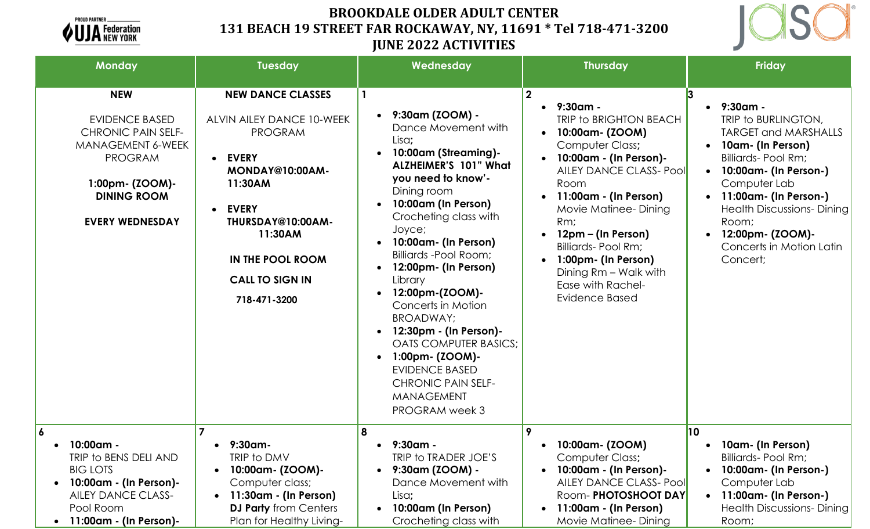

# **BROOKDALE OLDER ADULT CENTER 131 BEACH 19 STREET FAR ROCKAWAY, NY, 11691 \* Tel 718-471-3200 JUNE 2022 ACTIVITIES**



| <b>Monday</b>                                                                                                                                                              | Tuesday                                                                                                                                                                                                                                                              | Wednesday                                                                                                                                                                                                                                                                                                                                                                                                                                                                                                                   | <b>Thursday</b>                                                                                                                                                                                                                                                                                                                                                           | Friday                                                                                                                                                                                                                                                                                                 |
|----------------------------------------------------------------------------------------------------------------------------------------------------------------------------|----------------------------------------------------------------------------------------------------------------------------------------------------------------------------------------------------------------------------------------------------------------------|-----------------------------------------------------------------------------------------------------------------------------------------------------------------------------------------------------------------------------------------------------------------------------------------------------------------------------------------------------------------------------------------------------------------------------------------------------------------------------------------------------------------------------|---------------------------------------------------------------------------------------------------------------------------------------------------------------------------------------------------------------------------------------------------------------------------------------------------------------------------------------------------------------------------|--------------------------------------------------------------------------------------------------------------------------------------------------------------------------------------------------------------------------------------------------------------------------------------------------------|
| <b>NEW</b><br><b>EVIDENCE BASED</b><br><b>CHRONIC PAIN SELF-</b><br>MANAGEMENT 6-WEEK<br><b>PROGRAM</b><br>1:00pm- (ZOOM)-<br><b>DINING ROOM</b><br><b>EVERY WEDNESDAY</b> | <b>NEW DANCE CLASSES</b><br>ALVIN AILEY DANCE 10-WEEK<br><b>PROGRAM</b><br><b>EVERY</b><br>$\bullet$<br>MONDAY@10:00AM-<br>11:30AM<br><b>EVERY</b><br>$\bullet$<br>THURSDAY@10:00AM-<br>11:30AM<br><b>IN THE POOL ROOM</b><br><b>CALL TO SIGN IN</b><br>718-471-3200 | 9:30am (ZOOM) -<br>Dance Movement with<br>Lisa;<br>10:00am (Streaming)-<br><b>ALZHEIMER'S 101" What</b><br>you need to know'-<br>Dining room<br>10:00am (In Person)<br>Crocheting class with<br>Joyce;<br>10:00am- (In Person)<br>Billiards - Pool Room;<br>12:00pm- (In Person)<br>Library<br>12:00pm-(ZOOM)-<br>Concerts in Motion<br>BROADWAY:<br>12:30pm - (In Person)-<br><b>OATS COMPUTER BASICS;</b><br>1:00pm- (ZOOM)-<br><b>EVIDENCE BASED</b><br><b>CHRONIC PAIN SELF-</b><br><b>MANAGEMENT</b><br>PROGRAM week 3 | $\boldsymbol{2}$<br>9:30am -<br>TRIP to BRIGHTON BEACH<br>10:00am- (ZOOM)<br>Computer Class;<br>10:00am - (In Person)-<br><b>AILEY DANCE CLASS- Pool</b><br>Room<br>11:00am - (In Person)<br>Movie Matinee-Dining<br>Rm;<br>12pm – (In Person)<br><b>Billiards-Pool Rm;</b><br>1:00pm- (In Person)<br>Dining Rm - Walk with<br>Ease with Rachel-<br><b>Evidence Based</b> | $•$ 9:30am -<br>TRIP to BURLINGTON,<br><b>TARGET and MARSHALLS</b><br>10am- (In Person)<br>Billiards- Pool Rm;<br>10:00am- (In Person-)<br>$\bullet$<br>Computer Lab<br>11:00am- (In Person-)<br><b>Health Discussions-Dining</b><br>Room;<br>12:00pm- (ZOOM)-<br>Concerts in Motion Latin<br>Concert; |
| 6<br>10:00am -<br>TRIP to BENS DELI AND<br><b>BIG LOTS</b><br>10:00am - (In Person)-<br>$\bullet$<br><b>AILEY DANCE CLASS-</b><br>Pool Room<br>11:00am - (In Person)-      | 9:30am-<br>$\bullet$<br>TRIP to DMV<br>10:00am- (ZOOM)-<br>$\bullet$<br>Computer class;<br>11:30am - (In Person)<br>$\bullet$<br><b>DJ Party</b> from Centers<br>Plan for Healthy Living-                                                                            | 8<br>9:30am -<br>$\bullet$<br>TRIP to TRADER JOE'S<br>9:30am (ZOOM) -<br>$\bullet$<br>Dance Movement with<br>Lisa;<br>10:00am (In Person)<br>Crocheting class with                                                                                                                                                                                                                                                                                                                                                          | 9<br>10:00am- (ZOOM)<br>Computer Class;<br>10:00am - (In Person)-<br><b>AILEY DANCE CLASS- Pool</b><br>Room-PHOTOSHOOT DAY<br>11:00am - (In Person)<br>$\bullet$<br>Movie Matinee-Dining                                                                                                                                                                                  | 10<br>10am- (In Person)<br>$\bullet$<br>Billiards- Pool Rm;<br>10:00am- (In Person-)<br>Computer Lab<br>• 11:00am- (In Person-)<br><b>Health Discussions-Dining</b><br>Room;                                                                                                                           |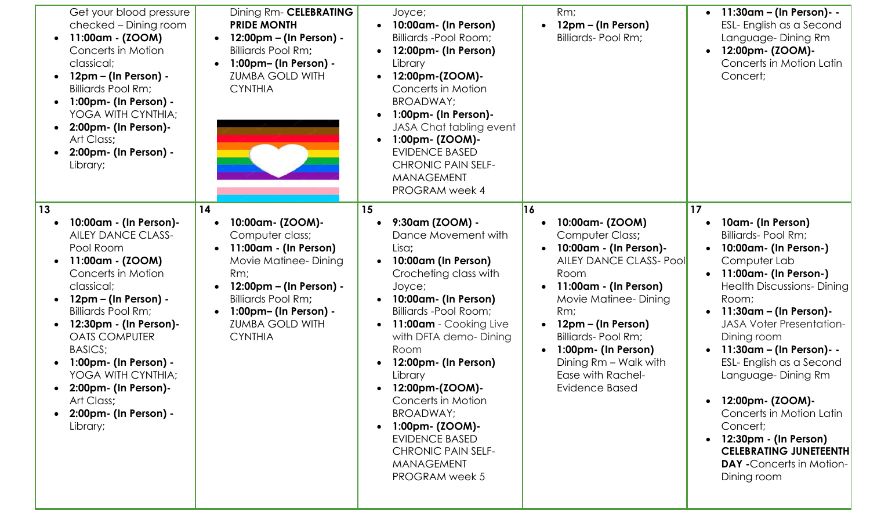| Get your blood pressure<br>checked - Dining room<br>11:00am - (ZOOM)<br>$\bullet$<br>Concerts in Motion<br>classical;<br>12pm – (In Person) -<br><b>Billiards Pool Rm;</b><br>$1:00$ pm- (In Person) -<br>YOGA WITH CYNTHIA;<br>2:00pm- (In Person)-<br>Art Class;<br>2:00pm- (In Person) -<br>Library;                                                                                          | Dining Rm- CELEBRATING<br><b>PRIDE MONTH</b><br>12:00pm – (In Person) -<br><b>Billiards Pool Rm;</b><br>1:00pm- (In Person) -<br><b>ZUMBA GOLD WITH</b><br><b>CYNTHIA</b>                                                      | Joyce;<br>10:00am- (In Person)<br>$\bullet$<br>Billiards -Pool Room;<br>12:00pm- (In Person)<br>Library<br>12:00pm-(ZOOM)-<br>Concerts in Motion<br>BROADWAY;<br>1:00pm- (In Person)-<br>JASA Chat tabling event<br>1:00pm- (ZOOM)-<br>$\bullet$<br><b>EVIDENCE BASED</b><br><b>CHRONIC PAIN SELF-</b><br><b>MANAGEMENT</b><br><b>PROGRAM</b> week 4                                                                                                                         | Rm;<br>12pm – (In Person)<br>$\bullet$<br>Billiards- Pool Rm;                                                                                                                                                                                                                                                                                                | 11:30am – (In Person)- -<br>$\bullet$<br>ESL- English as a Second<br>Language-Dining Rm<br>12:00pm- (ZOOM)-<br>Concerts in Motion Latin<br>Concert;                                                                                                                                                                                                                                                                                                                                                    |
|--------------------------------------------------------------------------------------------------------------------------------------------------------------------------------------------------------------------------------------------------------------------------------------------------------------------------------------------------------------------------------------------------|--------------------------------------------------------------------------------------------------------------------------------------------------------------------------------------------------------------------------------|------------------------------------------------------------------------------------------------------------------------------------------------------------------------------------------------------------------------------------------------------------------------------------------------------------------------------------------------------------------------------------------------------------------------------------------------------------------------------|--------------------------------------------------------------------------------------------------------------------------------------------------------------------------------------------------------------------------------------------------------------------------------------------------------------------------------------------------------------|--------------------------------------------------------------------------------------------------------------------------------------------------------------------------------------------------------------------------------------------------------------------------------------------------------------------------------------------------------------------------------------------------------------------------------------------------------------------------------------------------------|
| 13<br>10:00am - (In Person)-<br><b>AILEY DANCE CLASS-</b><br>Pool Room<br>11:00am - (ZOOM)<br>$\bullet$<br>Concerts in Motion<br>classical;<br>$12pm - (ln Person) -$<br><b>Billiards Pool Rm;</b><br>12:30pm - (In Person)-<br><b>OATS COMPUTER</b><br><b>BASICS;</b><br>1:00pm- (In Person) -<br>YOGA WITH CYNTHIA;<br>2:00pm- (In Person)-<br>Art Class;<br>2:00pm- (In Person) -<br>Library; | 14<br>10:00am- (ZOOM)-<br>Computer class;<br>11:00am - (In Person)<br>Movie Matinee-Dining<br>Rm;<br>12:00pm – (In Person) -<br><b>Billiards Pool Rm;</b><br>1:00pm- (In Person) -<br><b>ZUMBA GOLD WITH</b><br><b>CYNTHIA</b> | 15<br>9:30am (ZOOM) -<br>$\bullet$<br>Dance Movement with<br>Lisa;<br>10:00am (In Person)<br>$\bullet$<br>Crocheting class with<br>Joyce;<br>10:00am- (In Person)<br>Billiards - Pool Room;<br>11:00am - Cooking Live<br>$\bullet$<br>with DFTA demo-Dining<br>Room<br>12:00pm- (In Person)<br>Library<br>12:00pm-(ZOOM)-<br>Concerts in Motion<br>BROADWAY;<br>1:00pm- (ZOOM)-<br><b>EVIDENCE BASED</b><br><b>CHRONIC PAIN SELF-</b><br><b>MANAGEMENT</b><br>PROGRAM week 5 | 16<br>10:00am- (ZOOM)<br>$\bullet$<br>Computer Class;<br>10:00am - (In Person)-<br><b>AILEY DANCE CLASS- Pool</b><br>Room<br>11:00am - (In Person)<br>$\bullet$<br>Movie Matinee-Dining<br>Rm;<br>12pm – (In Person)<br><b>Billiards-Pool Rm;</b><br>1:00pm- (In Person)<br>$\bullet$<br>Dining Rm - Walk with<br>Ease with Rachel-<br><b>Evidence Based</b> | 17<br>10am- (In Person)<br><b>Billiards-Pool Rm;</b><br>10:00am- (In Person-)<br>Computer Lab<br>11:00am- (In Person-)<br><b>Health Discussions-Dining</b><br>Room;<br>11:30am – (In Person)-<br><b>JASA Voter Presentation-</b><br>Dining room<br>11:30am – (In Person)- -<br>ESL- English as a Second<br>Language-Dining Rm<br>12:00pm- (ZOOM)-<br>Concerts in Motion Latin<br>Concert;<br>12:30pm - (In Person)<br><b>CELEBRATING JUNETEENTH</b><br><b>DAY</b> - Concerts in Motion-<br>Dining room |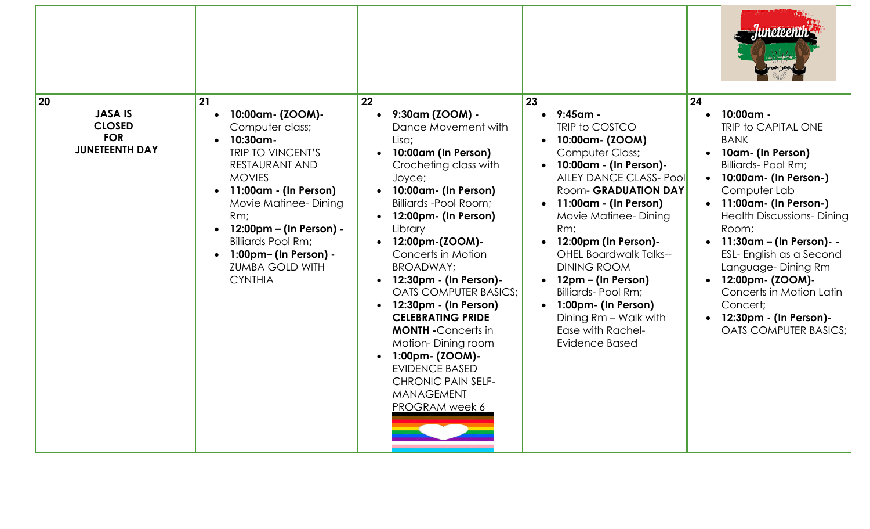|                                                                              |                                                                                                                                                                                                                                                                                                                        |                                                                                                                                                                                                                                                                                                                                                                                                                                                                                                                                                           |                                                                                                                                                                                                                                                                                                                                                                                                                                             | mpre                                                                                                                                                                                                                                                                                                                                                                                                                       |
|------------------------------------------------------------------------------|------------------------------------------------------------------------------------------------------------------------------------------------------------------------------------------------------------------------------------------------------------------------------------------------------------------------|-----------------------------------------------------------------------------------------------------------------------------------------------------------------------------------------------------------------------------------------------------------------------------------------------------------------------------------------------------------------------------------------------------------------------------------------------------------------------------------------------------------------------------------------------------------|---------------------------------------------------------------------------------------------------------------------------------------------------------------------------------------------------------------------------------------------------------------------------------------------------------------------------------------------------------------------------------------------------------------------------------------------|----------------------------------------------------------------------------------------------------------------------------------------------------------------------------------------------------------------------------------------------------------------------------------------------------------------------------------------------------------------------------------------------------------------------------|
| 20<br><b>JASA IS</b><br><b>CLOSED</b><br><b>FOR</b><br><b>JUNETEENTH DAY</b> | 21<br>10:00am- (ZOOM)-<br>Computer class;<br>10:30am-<br><b>TRIP TO VINCENT'S</b><br>RESTAURANT AND<br><b>MOVIES</b><br>11:00am - (In Person)<br>Movie Matinee-Dining<br>Rm;<br>12:00pm – (In Person) -<br>$\bullet$<br><b>Billiards Pool Rm;</b><br>1:00pm- (In Person) -<br><b>ZUMBA GOLD WITH</b><br><b>CYNTHIA</b> | 22<br>9:30am (ZOOM) -<br>Dance Movement with<br>Lisa;<br>10:00am (In Person)<br>Crocheting class with<br>Joyce;<br>10:00am- (In Person)<br>Billiards -Pool Room;<br>12:00pm- (In Person)<br>Library<br>12:00pm-(ZOOM)-<br>Concerts in Motion<br>BROADWAY;<br>12:30pm - (In Person)-<br><b>OATS COMPUTER BASICS:</b><br>12:30pm - (In Person)<br>$\bullet$<br><b>CELEBRATING PRIDE</b><br><b>MONTH</b> - Concerts in<br>Motion-Dining room<br>1:00pm- (ZOOM)-<br><b>EVIDENCE BASED</b><br><b>CHRONIC PAIN SELF-</b><br><b>MANAGEMENT</b><br>PROGRAM week 6 | 23<br>9:45am -<br>TRIP to COSTCO<br>10:00am- (ZOOM)<br>Computer Class;<br>10:00am - (In Person)-<br><b>AILEY DANCE CLASS- Pool</b><br>Room- GRADUATION DAY<br>11:00am - (In Person)<br>Movie Matinee-Dining<br>Rm;<br>12:00pm (In Person)-<br><b>OHEL Boardwalk Talks--</b><br><b>DINING ROOM</b><br>12pm – (In Person)<br><b>Billiards-Pool Rm;</b><br>1:00pm- (In Person)<br>Dining Rm - Walk with<br>Ease with Rachel-<br>Evidence Based | 24<br>10:00am -<br>TRIP to CAPITAL ONE<br><b>BANK</b><br>10am- (In Person)<br><b>Billiards-Pool Rm;</b><br>10:00am- (In Person-)<br>Computer Lab<br>11:00am- (In Person-)<br><b>Health Discussions-Dining</b><br>Room;<br>11:30am - (In Person)- -<br>ESL- English as a Second<br>Language-Dining Rm<br>12:00pm- (ZOOM)-<br>Concerts in Motion Latin<br>Concert;<br>12:30pm - (In Person)-<br><b>OATS COMPUTER BASICS;</b> |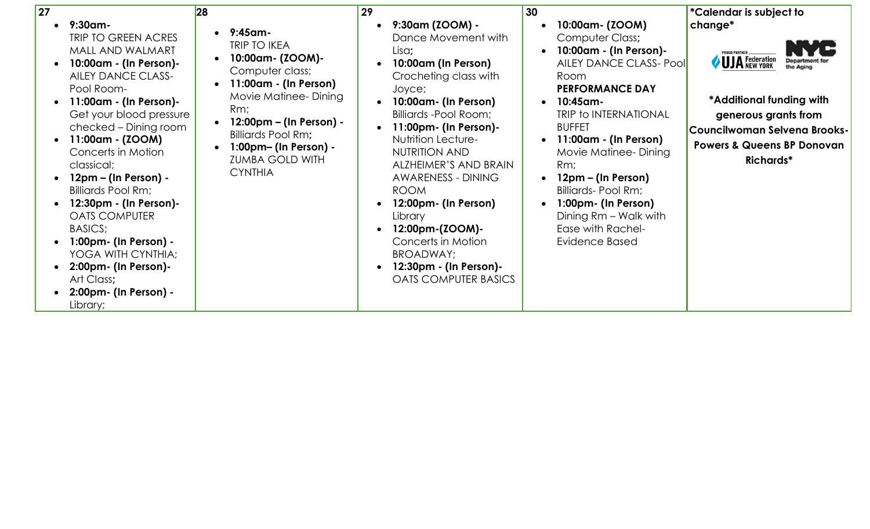| 27                                                                                                                                                                                                                                                                                                                                                                                                                                                                                                                                                                                                        | 28                                                                                                                                                                                                                                                     | 29                                                                                                                                                                                                                                                                                                                                                                                                                                                                  | 30                                                                                                                                                                                                                                                                                                                                                                                          | <i>*</i> Calendar is subject to                                                                                                                                                                   |
|-----------------------------------------------------------------------------------------------------------------------------------------------------------------------------------------------------------------------------------------------------------------------------------------------------------------------------------------------------------------------------------------------------------------------------------------------------------------------------------------------------------------------------------------------------------------------------------------------------------|--------------------------------------------------------------------------------------------------------------------------------------------------------------------------------------------------------------------------------------------------------|---------------------------------------------------------------------------------------------------------------------------------------------------------------------------------------------------------------------------------------------------------------------------------------------------------------------------------------------------------------------------------------------------------------------------------------------------------------------|---------------------------------------------------------------------------------------------------------------------------------------------------------------------------------------------------------------------------------------------------------------------------------------------------------------------------------------------------------------------------------------------|---------------------------------------------------------------------------------------------------------------------------------------------------------------------------------------------------|
| $9:30$ am-<br>$\bullet$<br>TRIP TO GREEN ACRES<br>MALL AND WALMART<br>10:00am - (In Person)-<br>$\bullet$<br><b>AILEY DANCE CLASS-</b><br>Pool Room-<br>11:00am - (In Person)-<br>$\bullet$<br>Get your blood pressure<br>checked – Dining room<br>11:00am - (ZOOM)<br>$\bullet$<br>Concerts in Motion<br>classical;<br>12pm – (In Person) -<br>$\bullet$<br>Billiards Pool Rm;<br>12:30pm - (In Person)-<br><b>OATS COMPUTER</b><br>BASICS;<br>$1:00 \text{pm}$ (In Person) -<br>YOGA WITH CYNTHIA;<br>2:00pm- (In Person)-<br>$\bullet$<br>Art Class;<br>2:00pm- (In Person) -<br>$\bullet$<br>Library; | $9:45$ am-<br><b>TRIP TO IKEA</b><br>10:00am- (ZOOM)-<br>Computer class;<br>11:00am - (In Person)<br>Movie Matinee-Dining<br>Rm;<br>12:00pm – (In Person) -<br>Billiards Pool Rm;<br>1:00pm- (In Person) -<br><b>ZUMBA GOLD WITH</b><br><b>CYNTHIA</b> | 9:30am (ZOOM) -<br>Dance Movement with<br>Lisa;<br>10:00am (In Person)<br>Crocheting class with<br>Joyce;<br>10:00am- (In Person)<br>Billiards - Pool Room;<br>$11:00$ pm- (In Person)-<br><b>Nutrition Lecture-</b><br><b>NUTRITION AND</b><br>ALZHEIMER'S AND BRAIN<br><b>AWARENESS - DINING</b><br><b>ROOM</b><br>12:00pm- (In Person)<br>Library<br>12:00pm-(ZOOM)-<br>Concerts in Motion<br>BROADWAY;<br>12:30pm - (In Person)-<br><b>OATS COMPUTER BASICS</b> | 10:00am- (ZOOM)<br>Computer Class;<br>10:00am - (In Person)-<br><b>AILEY DANCE CLASS- Pool</b><br>Room<br><b>PERFORMANCE DAY</b><br>$10:45$ am-<br><b>TRIP to INTERNATIONAL</b><br><b>BUFFET</b><br>11:00am - (In Person)<br>Movie Matinee-Dining<br>Rm;<br>12pm – (In Person)<br>Billiards-Pool Rm;<br>1:00pm- (In Person)<br>Dining Rm - Walk with<br>Ease with Rachel-<br>Evidence Based | change*<br><b>ROUD PARTNER</b><br>UJA Federation<br>*Additional funding with<br>generous grants from<br>Councilwoman Selvena Brooks-<br><b>Powers &amp; Queens BP Donovan</b><br><b>Richards*</b> |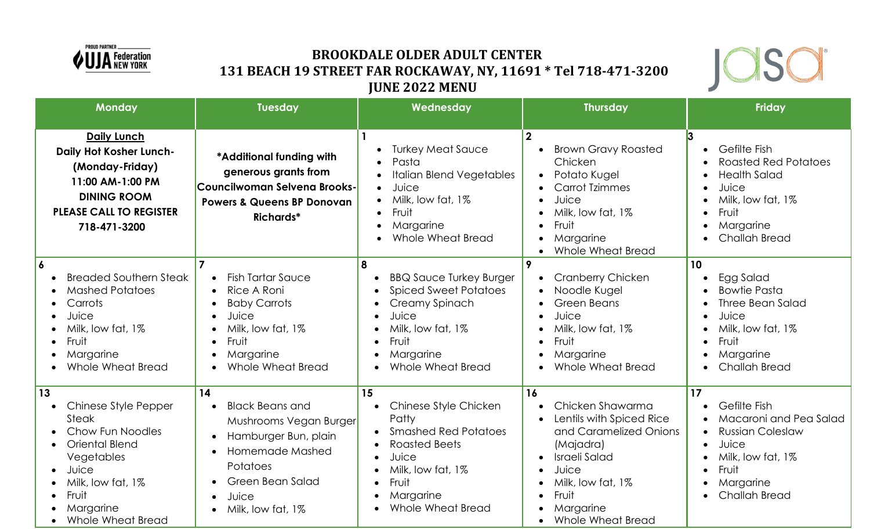

# **BROOKDALE OLDER ADULT CENTER 131 BEACH 19 STREET FAR ROCKAWAY, NY, 11691 \* Tel 718-471-3200 JUNE 2022 MENU**



|                                                       | <b>Monday</b>                                                                                                                                                     | <b>Tuesday</b>                                                                                                                                                                                                | Wednesday                                                                                                                                                                                             | <b>Thursday</b>                                                                                                                                                                                                                                                                       | <b>Friday</b>                                                                                                                                                                                                        |
|-------------------------------------------------------|-------------------------------------------------------------------------------------------------------------------------------------------------------------------|---------------------------------------------------------------------------------------------------------------------------------------------------------------------------------------------------------------|-------------------------------------------------------------------------------------------------------------------------------------------------------------------------------------------------------|---------------------------------------------------------------------------------------------------------------------------------------------------------------------------------------------------------------------------------------------------------------------------------------|----------------------------------------------------------------------------------------------------------------------------------------------------------------------------------------------------------------------|
|                                                       | <b>Daily Lunch</b><br>Daily Hot Kosher Lunch-<br>(Monday-Friday)<br>11:00 AM-1:00 PM<br><b>DINING ROOM</b><br><b>PLEASE CALL TO REGISTER</b><br>718-471-3200      | *Additional funding with<br>generous grants from<br>Councilwoman Selvena Brooks-<br><b>Powers &amp; Queens BP Donovan</b><br><b>Richards*</b>                                                                 | <b>Turkey Meat Sauce</b><br>Pasta<br><b>Italian Blend Vegetables</b><br>Juice<br>$\bullet$<br>Milk, low fat, 1%<br>Fruit<br>$\bullet$<br>Margarine<br>$\bullet$<br>Whole Wheat Bread                  | $\overline{2}$<br><b>Brown Gravy Roasted</b><br>Chicken<br>Potato Kugel<br><b>Carrot Tzimmes</b><br>Juice<br>$\bullet$<br>Milk, low fat, 1%<br>$\bullet$<br>Fruit<br>$\bullet$<br>Margarine<br>$\bullet$<br><b>Whole Wheat Bread</b><br>$\bullet$                                     | 3<br>Gefilte Fish<br>$\bullet$<br><b>Roasted Red Potatoes</b><br><b>Health Salad</b><br>Juice<br>$\bullet$<br>Milk, low fat, 1%<br>$\bullet$<br>Fruit<br>$\bullet$<br>Margarine<br>$\bullet$<br><b>Challah Bread</b> |
| 6<br>$\bullet$<br>$\bullet$<br>$\bullet$<br>$\bullet$ | <b>Breaded Southern Steak</b><br><b>Mashed Potatoes</b><br>Carrots<br>Juice<br>Milk, low fat, 1%<br>Fruit<br>Margarine<br><b>Whole Wheat Bread</b>                | <b>Fish Tartar Sauce</b><br>$\bullet$<br>Rice A Roni<br>$\bullet$<br><b>Baby Carrots</b><br>Juice<br>$\bullet$<br>Milk, low fat, 1%<br>$\bullet$<br>Fruit<br>$\bullet$<br>Margarine<br>Whole Wheat Bread      | 8<br><b>BBQ Sauce Turkey Burger</b><br><b>Spiced Sweet Potatoes</b><br>Creamy Spinach<br>Juice<br>$\bullet$<br>Milk, low fat, 1%<br>$\bullet$<br>Fruit<br>$\bullet$<br>Margarine<br>Whole Wheat Bread | $\boldsymbol{9}$<br><b>Cranberry Chicken</b><br>Noodle Kugel<br>$\bullet$<br>Green Beans<br>$\bullet$<br>Juice<br>$\bullet$<br>Milk, low fat, 1%<br>$\bullet$<br>Fruit<br>$\bullet$<br>Margarine<br>$\bullet$<br>Whole Wheat Bread                                                    | 10<br>Egg Salad<br>$\bullet$<br><b>Bowtie Pasta</b><br>Three Bean Salad<br>Juice<br>$\bullet$<br>Milk, low fat, 1%<br>$\bullet$<br>Fruit<br>$\bullet$<br>Margarine<br><b>Challah Bread</b><br>$\bullet$              |
| 13<br>$\bullet$<br>$\bullet$<br>$\bullet$             | Chinese Style Pepper<br><b>Steak</b><br>Chow Fun Noodles<br>Oriental Blend<br>Vegetables<br>Juice<br>Milk, low fat, 1%<br>Fruit<br>Margarine<br>Whole Wheat Bread | 14<br><b>Black Beans and</b><br>Mushrooms Vegan Burger<br>Hamburger Bun, plain<br>$\bullet$<br>Homemade Mashed<br>Potatoes<br><b>Green Bean Salad</b><br>$\bullet$<br>Juice<br>$\bullet$<br>Milk, low fat, 1% | 15<br>Chinese Style Chicken<br>Patty<br><b>Smashed Red Potatoes</b><br><b>Roasted Beets</b><br>Juice<br>Milk, low fat, 1%<br>Fruit<br>Margarine<br>Whole Wheat Bread                                  | 16<br>Chicken Shawarma<br>$\bullet$<br>Lentils with Spiced Rice<br>$\bullet$<br>and Caramelized Onions<br>(Majadra)<br>Israeli Salad<br>$\bullet$<br>Juice<br>$\bullet$<br>Milk, low fat, 1%<br>$\bullet$<br>Fruit<br>$\bullet$<br>Margarine<br><b>Whole Wheat Bread</b><br>$\bullet$ | 17<br>Gefilte Fish<br>Macaroni and Pea Salad<br><b>Russian Coleslaw</b><br>$\bullet$<br>Juice<br>$\bullet$<br>Milk, low fat, 1%<br>$\bullet$<br>Fruit<br>Margarine<br>$\bullet$<br><b>Challah Bread</b>              |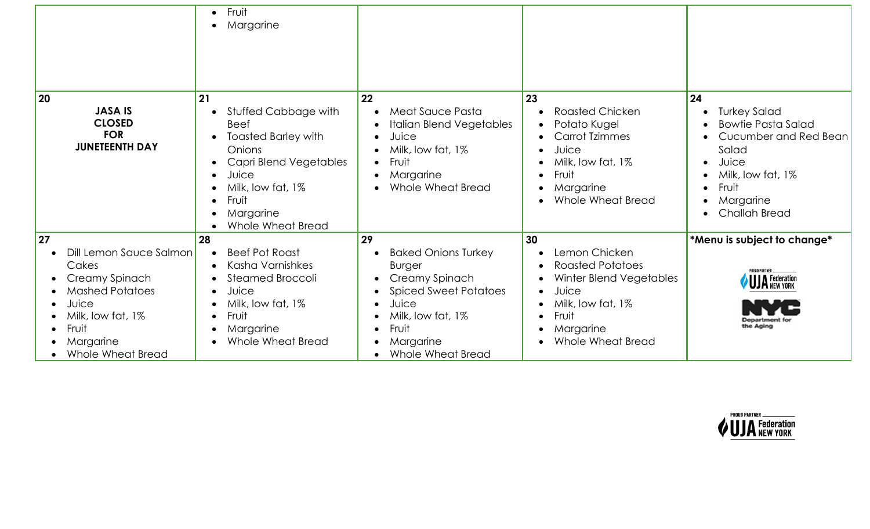|                                                                                                                                                             | Fruit<br>$\bullet$<br>Margarine<br>$\bullet$                                                                                                                                                                                             |                                                                                                                                                                                           |                                                                                                                                                                                                 |                                                                                                                                                                                                             |
|-------------------------------------------------------------------------------------------------------------------------------------------------------------|------------------------------------------------------------------------------------------------------------------------------------------------------------------------------------------------------------------------------------------|-------------------------------------------------------------------------------------------------------------------------------------------------------------------------------------------|-------------------------------------------------------------------------------------------------------------------------------------------------------------------------------------------------|-------------------------------------------------------------------------------------------------------------------------------------------------------------------------------------------------------------|
| 20<br><b>JASA IS</b><br><b>CLOSED</b><br><b>FOR</b><br><b>JUNETEENTH DAY</b>                                                                                | 21<br>Stuffed Cabbage with<br><b>Beef</b><br><b>Toasted Barley with</b><br>Onions<br>Capri Blend Vegetables<br>$\bullet$<br>Juice<br>$\bullet$<br>Milk, low fat, 1%<br>$\bullet$<br>Fruit<br>$\bullet$<br>Margarine<br>Whole Wheat Bread | 22<br>Meat Sauce Pasta<br>$\bullet$<br><b>Italian Blend Vegetables</b><br>Juice<br>Milk, low fat, 1%<br>$\bullet$<br>Fruit<br>Margarine<br>Whole Wheat Bread<br>$\bullet$                 | 23<br><b>Roasted Chicken</b><br>Potato Kugel<br><b>Carrot Tzimmes</b><br>Juice<br>$\bullet$<br>Milk, low fat, 1%<br>Fruit<br>$\bullet$<br>Margarine<br>$\bullet$<br>Whole Wheat Bread           | 24<br><b>Turkey Salad</b><br>$\bullet$<br><b>Bowtie Pasta Salad</b><br>Cucumber and Red Bean<br>Salad<br>Juice<br>$\bullet$<br>Milk, low fat, 1%<br>Fruit<br>$\bullet$<br>Margarine<br><b>Challah Bread</b> |
| 27<br>Dill Lemon Sauce Salmon<br>Cakes<br>Creamy Spinach<br><b>Mashed Potatoes</b><br>Juice<br>Milk, low fat, 1%<br>Fruit<br>Margarine<br>Whole Wheat Bread | 28<br><b>Beef Pot Roast</b><br>Kasha Varnishkes<br>Steamed Broccoli<br>$\bullet$<br>Juice<br>$\bullet$<br>Milk, low fat, 1%<br>Fruit<br>$\bullet$<br>Margarine<br>Whole Wheat Bread                                                      | 29<br><b>Baked Onions Turkey</b><br><b>Burger</b><br>Creamy Spinach<br><b>Spiced Sweet Potatoes</b><br>Juice<br>Milk, low fat, 1%<br>Fruit<br>$\bullet$<br>Margarine<br>Whole Wheat Bread | 30<br>Lemon Chicken<br>$\bullet$<br>Roasted Potatoes<br>Winter Blend Vegetables<br>Juice<br>$\bullet$<br>Milk, low fat, 1%<br>$\bullet$<br>Fruit<br>$\bullet$<br>Margarine<br>Whole Wheat Bread | *Menu is subject to change*<br><b>PROUD PARTNER</b><br><b>UJA</b> Federation<br><b>Jepartment for</b><br>the Aging                                                                                          |